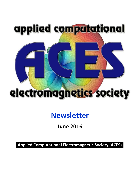

# **Newsletter**

# **June 2016**

**Applied Computational Electromagnetic Society (ACES)**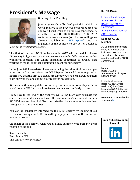# <span id="page-1-0"></span>**President's Message**



Greetings from Pisa, Italy.

June is generally a "bridge" period in which the works relative to the previous conference are over and we all start working on the new conference. As a matter of fact the IEEE ICWITS – ACES 2016 conference was a success (and its proceedings are already available on **IEEE Xplore**) and the highlights of the conference are better described

later in the present newsletter.

The first of the two ACES conferences in 2017 will be held in Firenze (Florence), Italy, so we basically move from a wonderful location to another wonderful location. The whole organizing committee is already hard working to make it another outstanding event for our society.

In the June 2015 Newsletter I was announcing the take-off of the new open access journal of the society, the ACES Express Journal. I am now proud to inform you that the first two issues are already out: you can download them from our website and submit your research results to it.

At the same time our publication activity keeps running smoothly with the well-known ACES Journal whose issues are released perfectly in time.

From now to the end of the year we will all be busy with journals and conference related issues and with the nominations/elections of the new ACES Fellows and Board of Directors: take the chance to be active members taking part in these activities.

You can be constantly informed on the ACES society by looking at our website or through the ACES LinkedIn group (where most of the important news are posted).

On behalf of the Society I wish you all a nice summer with, possibly, some relaxing vacations.

Sami Barmada President, ACES The University of Pisa, Italy

#### **In This Issue**

[President's Message](#page-1-0) [ACES 2017 in Italy](#page-2-0) [ICWITS-ACES 2016](#page-2-1)  **[Conference](#page-2-1)** [ACES Express Journal](#page-4-0) ACES Journal

#### **Become ACES Member**

ACES membership offers many advantages that include access to ACES Journal and discounted registration fees for ACES conferences.

Member: Basic:\$40/year Student/Retired:\$25/year Life:\$400/year

**Institutional Member:** Basic (US):\$360/year Basic (Intl):\$540/year Expanded (US):\$535/year Expanded (Intl):\$715/year

Become ACES member by signing up [here.](http://aces-society.org/mem.php)

**Join ACES Group on LinkedIn**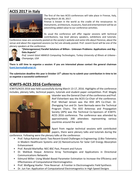### <span id="page-2-0"></span>**ACES 2017 in Italy**



The first of the two ACES conferences will take place in Firenze, Italy, during March 26-30, 2017.

Firenze is known in the world as the cradle of the renaissance: its monuments, architecture, museums, food and entertainment will be an astonishing added value to our conference activities.

As usual the conference will offer regular sessions with technical contributions, top level plenary speakers, exhibitions and tutorials.

Conference news are constantly posted on the society's website and some info about Florence, about the venue and about the organized sessions (so far) are already posted. Prof. Levent Gurel will be one of the plenary speakers at the conference.



**"(Heterogeneous) Parallel Solutions of Billion-‐ Unknown Problems: Applications and Big-‐ Data Aspects"**

*Prof. Levent Gürel ABAKUS Computing Technologies, Turkey University of Illinois at Urbana-‐ Champaign, USA*

**There is still time to organize a session: if you are interested please contact the general chairman [\(sami.barmada@unipi.it\).](mailto:sami.barmada@unipi.it))**

**The submission deadline this year is October 15th: please try to submit your contribution in time to let us organize a successful conference!!**

#### <span id="page-2-1"></span>**ICWITS-ACES 2016 Conference**

ICWITS/ACES 2016 was held successfully during March 13-17, 2016. Highlights of the conference includes, plenary talks, technical papers, tutorials and student paper competition. Prof. Magdy



Iskander was the General Chair of the conference and Prof. Atef Elsherbeni was the ACES Co-Chair of the conference. Prof. Michael Jensen was the IEEE APS Co-Chair. Dr. Zhengqing Yun and Dr. Sami Barmada were the Technical Program Chairs. The IEEE Antennas and Propagation Society (APS) was the Technical Co-Sponsors of ICWITS-ACES 2016 conference. The conference was attended by approximately 200 attendees representing various countries around the world.

Apart from regular technical sessions with contributed papers, there were plenary talks and tutorials during the

conference. Following were the plenary talks at the conference:

- Prof. Yahya Rahmat-Samii: Two Recent Grand Challenges in Engineering: (i) Bio-Telemetry in Modern Healthcare Systems and (ii) Nanostructures for Solar Cell Energy Absorption Enhancement
- Prof. Ronald Marhefka: NEC-BSC Past, Present and Future
- Dr. Mahbub Hoque: Antenna Array Technologies and Applications in Directional Communications Networks
- Edmund Miller: Using Model-Based Parameter Estimation to Increase the Efficiency and Effectiveness of Computational Electromagnetics
- Prof. Wolfgang Hoefer: Time Reversal A Frontier in Electromagnetic Field Synthesis
- Dr. Jun Fan: Application of Computational Electromagnetics in High Speed Designs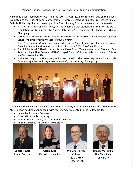• Dr. Mahbub Hoque: Challenges in Army Network for Sustained Communication

A student paper competition was held at ICWITS-ACES 2016 conference. Out of the papers submitted to the student paper competition, 10 were selected as finalists. Prof. Ozlem Kilic of Catholic University chaired the competition. The following 5 papers were chosen for awards:

- First Prize: Su Yan and Jian-Ming Jin, "A Dynamic p-Adaptation Algorithm for the DGTD Simulation of Nonlinear EM-Plasma Interaction", University of Illinois at Urbana-Champaign
- Second Prize: Miaomiao Ma and Dan Jiao, "HSS-Matrix Based Fast Direct Volume Integral Equation Solver for Electrodynamic Analysis", Purdue University
- Third Prize: Kamalesh Sainath and Fernando L. Teixeira, "Robust Numerical Modeling of Currents Radiating in Non-Birefringent Anisotropic Medium Layers", The Ohio State University
- Fourth Prize: Ismail E. Uysal, H. Arda Ulku, and Hakan Bagci, "Quantum-Corrected Plasmonic Field Analysis Using a Time Domain PMCHWT Integral Equation", King Abdullah University of Science and Technology (KAUST)
- Fifth Prize: Ying S. Cao, Li Jun Jiang, and Albert E. Ruehli, "The Derived Equivalent Circuit Model for Non-Magnetized and Magnetized Graphene", The University of Hong Kong



The conference banquet was held on Wednesday, March 16, 2016. At the Banquet, the 2016 class of ACES Fellows has been announced, with four members elevated to the Fellow grade.

- James Rautio, Sonnet Software
- Ozlem Kilic, Catholic University
- William O'Keefe Coburn, The US Army Research Lab
- Ronald Marhefka, The Ohio State University



**James Rautio** Sonnet Software



**Ozlem Kilic** Catholic University



**William O'Keefe Coburn** The US Army Research Lab



**Ronald Marhefka** The Ohio State University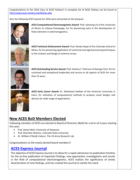Congratulations to the 2016 Class of ACES Fellows!! A complete list of ACES Fellows can be found at [http://www.aces-society.org/fellows.php.](http://www.aces-society.org/fellows.php)

Also the following ACES awards for 2016 were presented at the banquet:



**ACES Computational Electromagnetics Award**: *Prof. Jianming Jin* of the University of Illinois at Urbana-Champaign, for his pioneering work in the development of finite elements in electromagnetics.



**ACES Technical Achievement Award:** *Prof. Randy Haupt* of the Colorado School of Mines, for his pioneering application of numerical and signal processing techniques to the analysis and design of antenna arrays.



**ACES Outstanding Service Award:** *Prof. Andrew F. Peterson* of Georgia Tech, for his sustained and exceptional leadership and service to all aspects of ACES for more than 25 years.



**ACES Early Career Award:** *Dr. Mohamed Swillam* of the American University in Cairo, for utilization of computational methods to propose novel designs and devices for wide range of applications

### **New ACES BoD Members Elected**

Following members of ACES are elected to Board of Directors (BoD) for a term of 3 years starting this year:

- *Prof. Daniel Weil*, University of Delaware
- *Prof. Branislav Notaros*, Colorado State University
- *Dr. William O'Keefe Coburn*, The US Army Research Lab

Congratulations to the newly elected board members!!

#### <span id="page-4-0"></span>**[ACES Express Journal](http://www.aces-society.org/express_journal.php)**

The objective of ACES Express Journal is to allow for a rapid submission-to-publication timeline for the on-line publication of important findings, new approaches, investigations and results in the field of computational electromagnetics. ACES realizes the significance of timely dissemination of new findings, and has created this journal to satisfy this need.